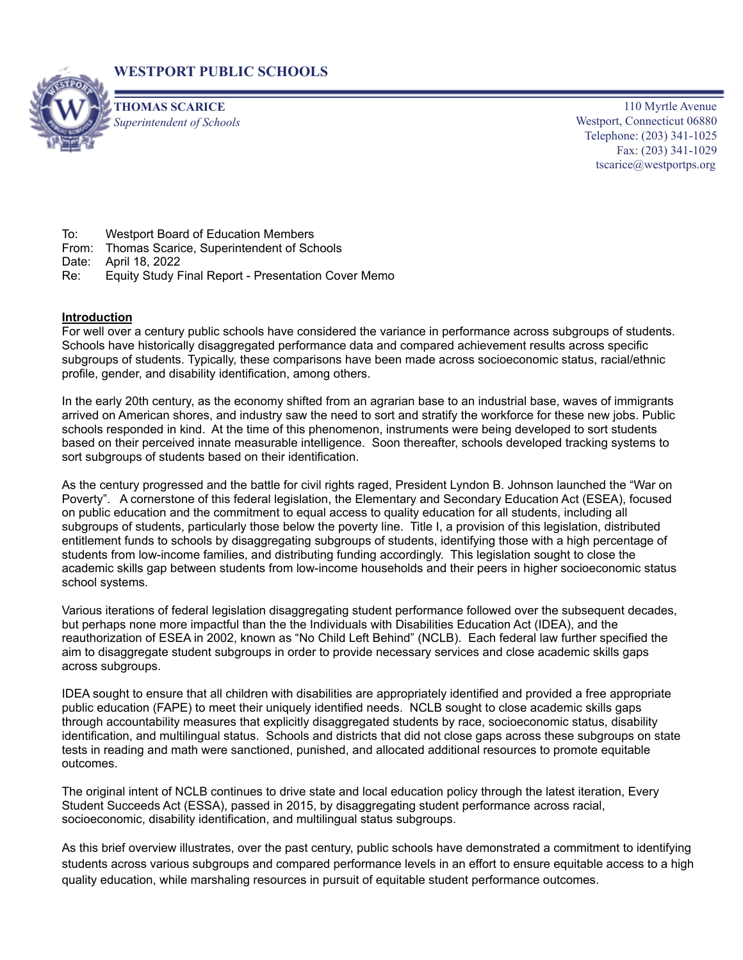



**THOMAS SCARICE** *Superintendent of Schools*

110 Myrtle Avenue Westport, Connecticut 06880 Telephone: (203) 341-1025 Fax: (203) 341-1029 tscarice@westportps.org

To: Westport Board of Education Members

- From: Thomas Scarice, Superintendent of Schools
- Date: April 18, 2022
- Re: Equity Study Final Report Presentation Cover Memo

## **Introduction**

For well over a century public schools have considered the variance in performance across subgroups of students. Schools have historically disaggregated performance data and compared achievement results across specific subgroups of students. Typically, these comparisons have been made across socioeconomic status, racial/ethnic profile, gender, and disability identification, among others.

In the early 20th century, as the economy shifted from an agrarian base to an industrial base, waves of immigrants arrived on American shores, and industry saw the need to sort and stratify the workforce for these new jobs. Public schools responded in kind. At the time of this phenomenon, instruments were being developed to sort students based on their perceived innate measurable intelligence. Soon thereafter, schools developed tracking systems to sort subgroups of students based on their identification.

As the century progressed and the battle for civil rights raged, President Lyndon B. Johnson launched the "War on Poverty". A cornerstone of this federal legislation, the Elementary and Secondary Education Act (ESEA), focused on public education and the commitment to equal access to quality education for all students, including all subgroups of students, particularly those below the poverty line. Title I, a provision of this legislation, distributed entitlement funds to schools by disaggregating subgroups of students, identifying those with a high percentage of students from low-income families, and distributing funding accordingly. This legislation sought to close the academic skills gap between students from low-income households and their peers in higher socioeconomic status school systems.

Various iterations of federal legislation disaggregating student performance followed over the subsequent decades, but perhaps none more impactful than the the Individuals with Disabilities Education Act (IDEA), and the reauthorization of ESEA in 2002, known as "No Child Left Behind" (NCLB). Each federal law further specified the aim to disaggregate student subgroups in order to provide necessary services and close academic skills gaps across subgroups.

IDEA sought to ensure that all children with disabilities are appropriately identified and provided a free appropriate public education (FAPE) to meet their uniquely identified needs. NCLB sought to close academic skills gaps through accountability measures that explicitly disaggregated students by race, socioeconomic status, disability identification, and multilingual status. Schools and districts that did not close gaps across these subgroups on state tests in reading and math were sanctioned, punished, and allocated additional resources to promote equitable outcomes.

The original intent of NCLB continues to drive state and local education policy through the latest iteration, Every Student Succeeds Act (ESSA), passed in 2015, by disaggregating student performance across racial, socioeconomic, disability identification, and multilingual status subgroups.

As this brief overview illustrates, over the past century, public schools have demonstrated a commitment to identifying students across various subgroups and compared performance levels in an effort to ensure equitable access to a high quality education, while marshaling resources in pursuit of equitable student performance outcomes.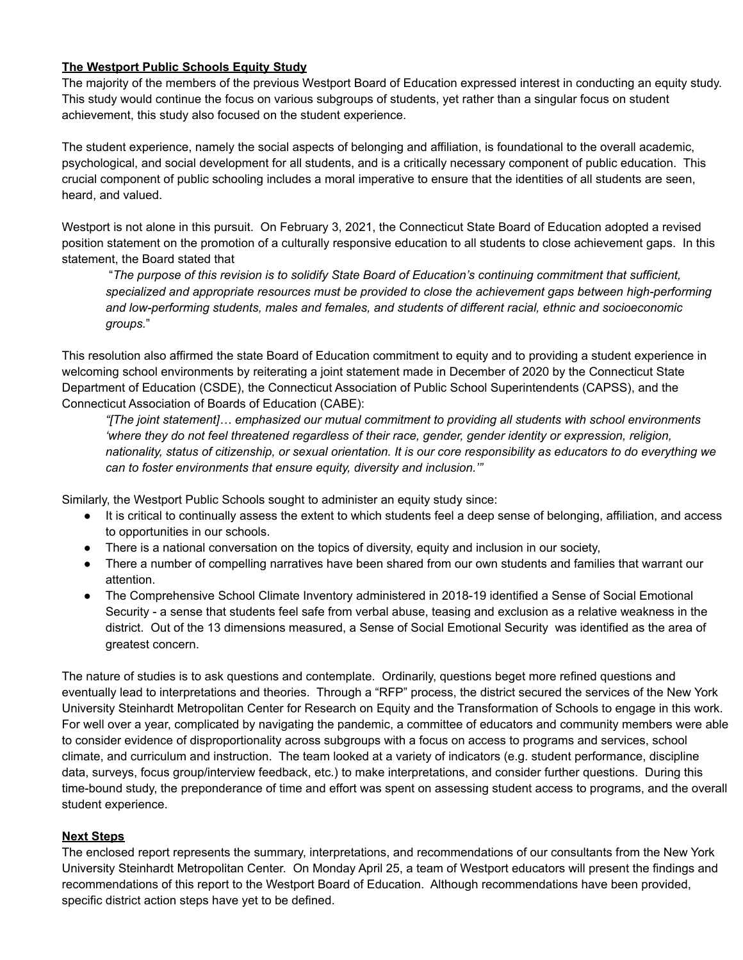## **The Westport Public Schools Equity Study**

The majority of the members of the previous Westport Board of Education expressed interest in conducting an equity study. This study would continue the focus on various subgroups of students, yet rather than a singular focus on student achievement, this study also focused on the student experience.

The student experience, namely the social aspects of belonging and affiliation, is foundational to the overall academic, psychological, and social development for all students, and is a critically necessary component of public education. This crucial component of public schooling includes a moral imperative to ensure that the identities of all students are seen, heard, and valued.

Westport is not alone in this pursuit. On February 3, 2021, the Connecticut State Board of Education adopted a revised position statement on the promotion of a culturally responsive education to all students to close achievement gaps. In this statement, the Board stated that

"*The purpose of this revision is to solidify State Board of Education's continuing commitment that sufficient, specialized and appropriate resources must be provided to close the achievement gaps between high-performing and low-performing students, males and females, and students of different racial, ethnic and socioeconomic groups.*"

This resolution also affirmed the state Board of Education commitment to equity and to providing a student experience in welcoming school environments by reiterating a joint statement made in December of 2020 by the Connecticut State Department of Education (CSDE), the Connecticut Association of Public School Superintendents (CAPSS), and the Connecticut Association of Boards of Education (CABE):

*"[The joint statement]… emphasized our mutual commitment to providing all students with school environments 'where they do not feel threatened regardless of their race, gender, gender identity or expression, religion,* nationality, status of citizenship, or sexual orientation. It is our core responsibility as educators to do everything we *can to foster environments that ensure equity, diversity and inclusion.'"*

Similarly, the Westport Public Schools sought to administer an equity study since:

- It is critical to continually assess the extent to which students feel a deep sense of belonging, affiliation, and access to opportunities in our schools.
- There is a national conversation on the topics of diversity, equity and inclusion in our society,
- There a number of compelling narratives have been shared from our own students and families that warrant our attention.
- The Comprehensive School Climate Inventory administered in 2018-19 identified a Sense of Social Emotional Security - a sense that students feel safe from verbal abuse, teasing and exclusion as a relative weakness in the district. Out of the 13 dimensions measured, a Sense of Social Emotional Security was identified as the area of greatest concern.

The nature of studies is to ask questions and contemplate. Ordinarily, questions beget more refined questions and eventually lead to interpretations and theories. Through a "RFP" process, the district secured the services of the New York University Steinhardt Metropolitan Center for Research on Equity and the Transformation of Schools to engage in this work. For well over a year, complicated by navigating the pandemic, a committee of educators and community members were able to consider evidence of disproportionality across subgroups with a focus on access to programs and services, school climate, and curriculum and instruction. The team looked at a variety of indicators (e.g. student performance, discipline data, surveys, focus group/interview feedback, etc.) to make interpretations, and consider further questions. During this time-bound study, the preponderance of time and effort was spent on assessing student access to programs, and the overall student experience.

## **Next Steps**

The enclosed report represents the summary, interpretations, and recommendations of our consultants from the New York University Steinhardt Metropolitan Center. On Monday April 25, a team of Westport educators will present the findings and recommendations of this report to the Westport Board of Education. Although recommendations have been provided, specific district action steps have yet to be defined.